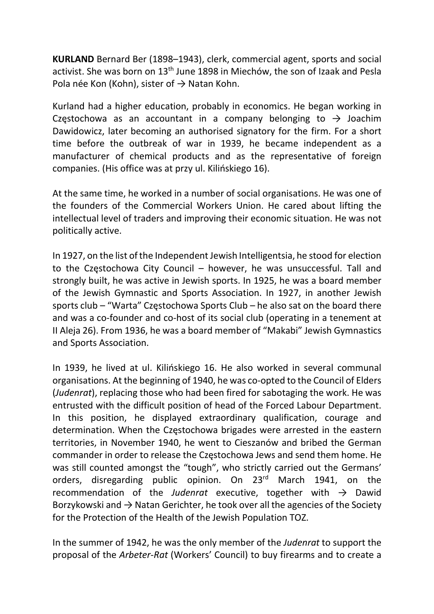KURLAND Bernard Ber (1898–1943), clerk, commercial agent, sports and social activist. She was born on 13th June 1898 in Miechów, the son of Izaak and Pesla Pola née Kon (Kohn), sister of  $\rightarrow$  Natan Kohn.

Kurland had a higher education, probably in economics. He began working in Częstochowa as an accountant in a company belonging to  $\rightarrow$  Joachim Dawidowicz, later becoming an authorised signatory for the firm. For a short time before the outbreak of war in 1939, he became independent as a manufacturer of chemical products and as the representative of foreign companies. (His office was at przy ul. Kilińskiego 16).

At the same time, he worked in a number of social organisations. He was one of the founders of the Commercial Workers Union. He cared about lifting the intellectual level of traders and improving their economic situation. He was not politically active.

In 1927, on the list of the Independent Jewish Intelligentsia, he stood for election to the Częstochowa City Council – however, he was unsuccessful. Tall and strongly built, he was active in Jewish sports. In 1925, he was a board member of the Jewish Gymnastic and Sports Association. In 1927, in another Jewish sports club – "Warta" Częstochowa Sports Club – he also sat on the board there and was a co-founder and co-host of its social club (operating in a tenement at II Aleja 26). From 1936, he was a board member of "Makabi" Jewish Gymnastics and Sports Association.

In 1939, he lived at ul. Kilińskiego 16. He also worked in several communal organisations. At the beginning of 1940, he was co-opted to the Council of Elders (Judenrat), replacing those who had been fired for sabotaging the work. He was entrusted with the difficult position of head of the Forced Labour Department. In this position, he displayed extraordinary qualification, courage and determination. When the Częstochowa brigades were arrested in the eastern territories, in November 1940, he went to Cieszanów and bribed the German commander in order to release the Częstochowa Jews and send them home. He was still counted amongst the "tough", who strictly carried out the Germans' orders, disregarding public opinion. On 23<sup>rd</sup> March 1941, on the recommendation of the Judenrat executive, together with  $\rightarrow$  Dawid Borzykowski and  $\rightarrow$  Natan Gerichter, he took over all the agencies of the Society for the Protection of the Health of the Jewish Population TOZ.

In the summer of 1942, he was the only member of the Judenrat to support the proposal of the Arbeter-Rat (Workers' Council) to buy firearms and to create a